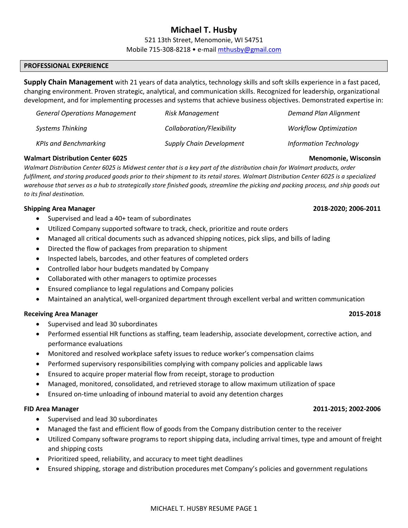# **Michael T. Husby**

521 13th Street, Menomonie, WI 54751

Mobile 715-308-8218 • e-mail mthusby@gmail.com

## **PROFESSIONAL EXPERIENCE**

**Supply Chain Management** with 21 years of data analytics, technology skills and soft skills experience in a fast paced, changing environment. Proven strategic, analytical, and communication skills. Recognized for leadership, organizational development, and for implementing processes and systems that achieve business objectives. Demonstrated expertise in:

| <b>General Operations Management</b> | Risk Management                 | <b>Demand Plan Alignment</b>  |
|--------------------------------------|---------------------------------|-------------------------------|
| Systems Thinking                     | Collaboration/Flexibility       | <b>Workflow Optimization</b>  |
| <b>KPIs and Benchmarking</b>         | <b>Supply Chain Development</b> | <b>Information Technology</b> |

### **Walmart Distribution Center 6025 Menomonie, Wisconsin**

*Walmart Distribution Center 6025 is Midwest center that is a key part of the distribution chain for Walmart products, order fulfilment, and storing produced goods prior to their shipment to its retail stores. Walmart Distribution Center 6025 is a specialized warehouse that serves as a hub to strategically store finished goods, streamline the picking and packing process, and ship goods out to its final destination.* 

### **Shipping Area Manager 2018-2020; 2006-2011**

- Supervised and lead a 40+ team of subordinates
- Utilized Company supported software to track, check, prioritize and route orders
- Managed all critical documents such as advanced shipping notices, pick slips, and bills of lading
- Directed the flow of packages from preparation to shipment
- Inspected labels, barcodes, and other features of completed orders
- Controlled labor hour budgets mandated by Company
- Collaborated with other managers to optimize processes
- Ensured compliance to legal regulations and Company policies
- Maintained an analytical, well-organized department through excellent verbal and written communication

### **Receiving Area Manager 2015-2018**

- Supervised and lead 30 subordinates
- Performed essential HR functions as staffing, team leadership, associate development, corrective action, and performance evaluations
- Monitored and resolved workplace safety issues to reduce worker's compensation claims
- Performed supervisory responsibilities complying with company policies and applicable laws
- Ensured to acquire proper material flow from receipt, storage to production
- Managed, monitored, consolidated, and retrieved storage to allow maximum utilization of space
- Ensured on-time unloading of inbound material to avoid any detention charges

### **FID Area Manager 2011-2015; 2002-2006**

- Supervised and lead 30 subordinates
- Managed the fast and efficient flow of goods from the Company distribution center to the receiver
- Utilized Company software programs to report shipping data, including arrival times, type and amount of freight and shipping costs
- Prioritized speed, reliability, and accuracy to meet tight deadlines
- Ensured shipping, storage and distribution procedures met Company's policies and government regulations